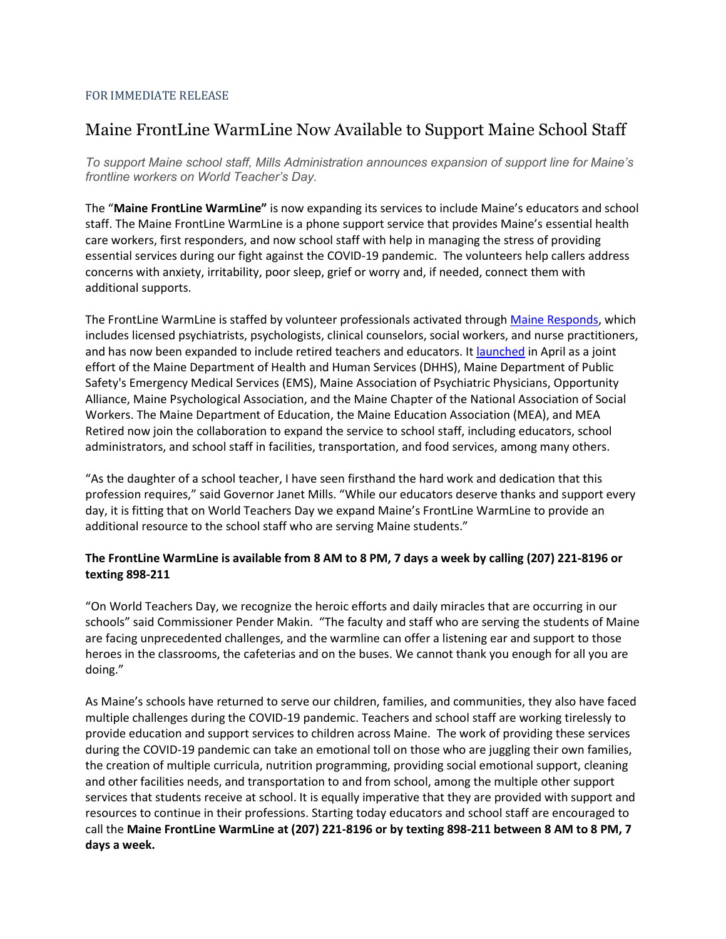## FOR IMMEDIATE RELEASE

## Maine FrontLine WarmLine Now Available to Support Maine School Staff

*To support Maine school staff, Mills Administration announces expansion of support line for Maine's frontline workers on World Teacher's Day.*

The "**Maine FrontLine WarmLine"** is now expanding its services to include Maine's educators and school staff. The Maine FrontLine WarmLine is a phone support service that provides Maine's essential health care workers, first responders, and now school staff with help in managing the stress of providing essential services during our fight against the COVID-19 pandemic. The volunteers help callers address concerns with anxiety, irritability, poor sleep, grief or worry and, if needed, connect them with additional supports.

The FrontLine WarmLine is staffed by volunteer professionals activated through [Maine Responds,](https://www.maineresponds.org/) which includes licensed psychiatrists, psychologists, clinical counselors, social workers, and nurse practitioners, and has now been expanded to include retired teachers and educators. It [launched](https://www.maine.gov/tools/whatsnew/index.php?topic=DHS+Press+Releases&id=2417012&v=dhhs_article_2020) in April as a joint effort of the Maine Department of Health and Human Services (DHHS), Maine Department of Public Safety's Emergency Medical Services (EMS), Maine Association of Psychiatric Physicians, Opportunity Alliance, Maine Psychological Association, and the Maine Chapter of the National Association of Social Workers. The Maine Department of Education, the Maine Education Association (MEA), and MEA Retired now join the collaboration to expand the service to school staff, including educators, school administrators, and school staff in facilities, transportation, and food services, among many others.

"As the daughter of a school teacher, I have seen firsthand the hard work and dedication that this profession requires," said Governor Janet Mills. "While our educators deserve thanks and support every day, it is fitting that on World Teachers Day we expand Maine's FrontLine WarmLine to provide an additional resource to the school staff who are serving Maine students."

## **The FrontLine WarmLine is available from 8 AM to 8 PM, 7 days a week by calling (207) 221-8196 or texting 898-211**

"On World Teachers Day, we recognize the heroic efforts and daily miracles that are occurring in our schools" said Commissioner Pender Makin. "The faculty and staff who are serving the students of Maine are facing unprecedented challenges, and the warmline can offer a listening ear and support to those heroes in the classrooms, the cafeterias and on the buses. We cannot thank you enough for all you are doing."

As Maine's schools have returned to serve our children, families, and communities, they also have faced multiple challenges during the COVID-19 pandemic. Teachers and school staff are working tirelessly to provide education and support services to children across Maine. The work of providing these services during the COVID-19 pandemic can take an emotional toll on those who are juggling their own families, the creation of multiple curricula, nutrition programming, providing social emotional support, cleaning and other facilities needs, and transportation to and from school, among the multiple other support services that students receive at school. It is equally imperative that they are provided with support and resources to continue in their professions. Starting today educators and school staff are encouraged to call the **Maine FrontLine WarmLine at (207) 221-8196 or by texting 898-211 between 8 AM to 8 PM, 7 days a week.**